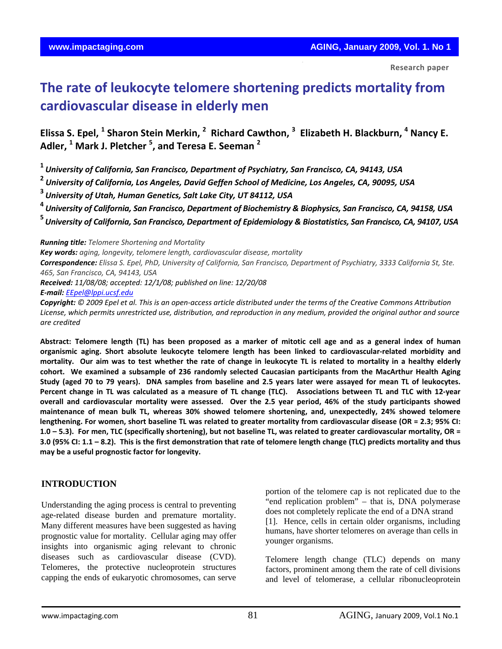With every cell division, a

 **Research paper**

# **The rate of leukocyte telomere shortening predicts mortality from cardiovascular disease in elderly men**

# Elissa S. Epel, <sup>1</sup> Sharon Stein Merkin, <sup>2</sup> Richard Cawthon, <sup>3</sup> Elizabeth H. Blackburn, <sup>4</sup> Nancy E. **Adler, <sup>1</sup> Mark J. Pletcher <sup>5</sup> , and Teresa E. Seeman <sup>2</sup>**

**<sup>1</sup>** *University of California, San Francisco, Department of Psychiatry, San Francisco, CA, 94143, USA*

**<sup>2</sup>** *University of California, Los Angeles, David Geffen School of Medicine, Los Angeles, CA, 90095, USA*

**<sup>3</sup>** *University of Utah, Human Genetics, Salt Lake City, UT 84112, USA*

<sup>4</sup> University of California, San Francisco, Department of Biochemistry & Biophysics, San Francisco, CA, 94158, USA

<sup>5</sup> University of California, San Francisco, Department of Epidemiology & Biostatistics, San Francisco, CA, 94107, USA

*Running title: Telomere Shortening and Mortality*

*Key words: aging, longevity, telomere length, cardiovascular disease, mortality*

Correspondence: Elissa S. Epel, PhD, University of California, San Francisco, Department of Psychiatry, 3333 California St, Ste. *465, San Francisco, CA, 94143, USA*

*Received: 11/08/08; accepted: 12/1/08; published on line: 12/20/08 E‐mail: [EEpel@lppi.ucsf.edu](mailto:EEpel@lppi.ucsf.edu)*

Copyright: © 2009 Epel et al. This is an open-access article distributed under the terms of the Creative Commons Attribution License, which permits unrestricted use, distribution, and reproduction in any medium, provided the original author and source *are credited*

Abstract: Telomere length (TL) has been proposed as a marker of mitotic cell age and as a general index of human organismic aging. Short absolute leukocyte telomere length has been linked to cardiovascular-related morbidity and mortality. Our aim was to test whether the rate of change in leukocyte TL is related to mortality in a healthy elderly cohort. We examined a subsample of 236 randomly selected Caucasian participants from the MacArthur Health Aging Study (aged 70 to 79 years). DNA samples from baseline and 2.5 years later were assayed for mean TL of leukocytes. Percent change in TL was calculated as a measure of TL change (TLC). Associations between TL and TLC with 12-year overall and cardiovascular mortality were assessed. Over the 2.5 year period, 46% of the study participants showed **maintenance of mean bulk TL, whereas 30% showed telomere shortening, and, unexpectedly, 24% showed telomere** lengthening. For women, short baseline TL was related to greater mortality from cardiovascular disease (OR = 2.3; 95% CI: 1.0 - 5.3). For men, TLC (specifically shortening), but not baseline TL, was related to greater cardiovascular mortality, OR = 3.0 (95% CI: 1.1 - 8.2). This is the first demonstration that rate of telomere length change (TLC) predicts mortality and thus **may be a useful prognostic factor for longevity.** 

# **INTRODUCTION**

Understanding the aging process is central to preventing age-related disease burden and premature mortality. Many different measures have been suggested as having prognostic value for mortality. Cellular aging may offer insights into organismic aging relevant to chronic diseases such as cardiovascular disease (CVD). Telomeres, the protective nucleoprotein structures capping the ends of eukaryotic chromosomes, can serve

portion of the telomere cap is not replicated due to the "end replication problem" – that is, DNA polymerase does not completely replicate the end of a DNA strand [1]. Hence, cells in certain older organisms, including humans, have shorter telomeres on average than cells in younger organisms.

Telomere length change (TLC) depends on many factors, prominent among them the rate of cell divisions and level of telomerase, a cellular ribonucleoprotein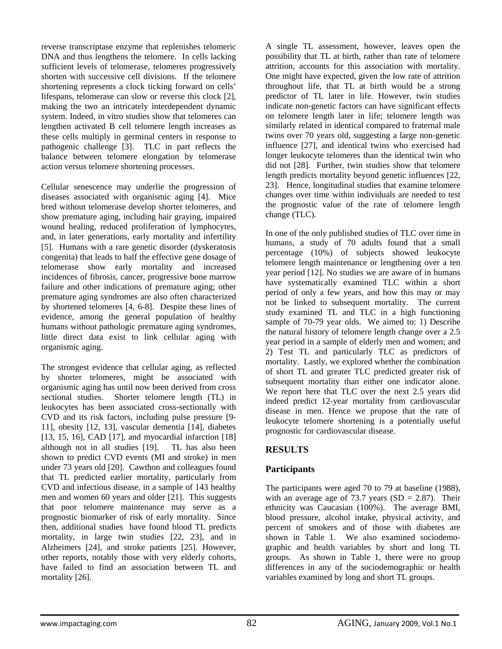reverse transcriptase enzyme that replenishes telomeric DNA and thus lengthens the telomere. In cells lacking sufficient levels of telomerase, telomeres progressively shorten with successive cell divisions. If the telomere shortening represents a clock ticking forward on cells' lifespans, telomerase can slow or reverse this clock [2], making the two an intricately interdependent dynamic system. Indeed, in vitro studies show that telomeres can lengthen activated B cell telomere length increases as these cells multiply in germinal centers in response to pathogenic challenge [3]. TLC in part reflects the balance between telomere elongation by telomerase action versus telomere shortening processes.

Cellular senescence may underlie the progression of diseases associated with organismic aging [4]. Mice bred without telomerase develop shorter telomeres, and show premature aging, including hair graying, impaired wound healing, reduced proliferation of lymphocytes, and, in later generations, early mortality and infertility [5]. Humans with a rare genetic disorder (dyskeratosis congenita) that leads to half the effective gene dosage of telomerase show early mortality and increased incidences of fibrosis, cancer, progressive bone marrow failure and other indications of premature aging; other premature aging syndromes are also often characterized by shortened telomeres [4, 6-8]. Despite these lines of evidence, among the general population of healthy humans without pathologic premature aging syndromes, little direct data exist to link cellular aging with organismic aging.

The strongest evidence that cellular aging, as reflected by shorter telomeres, might be associated with organismic aging has until now been derived from cross sectional studies. Shorter telomere length (TL) in leukocytes has been associated cross-sectionally with CVD and its risk factors, including pulse pressure [9- 11], obesity [12, 13], vascular dementia [14], diabetes [13, 15, 16], CAD [17], and myocardial infarction [18] although not in all studies [19]. TL has also been shown to predict CVD events (MI and stroke) in men under 73 years old [20]. Cawthon and colleagues found that TL predicted earlier mortality, particularly from CVD and infectious disease, in a sample of 143 healthy men and women 60 years and older [21]. This suggests that poor telomere maintenance may serve as a prognostic biomarker of risk of early mortality. Since then, additional studies have found blood TL predicts mortality, in large twin studies [22, 23], and in Alzheimers [24], and stroke patients [25]. However, other reports, notably those with very elderly cohorts, have failed to find an association between TL and mortality [26].

A single TL assessment, however, leaves open the possibility that TL at birth, rather than rate of telomere attrition, accounts for this association with mortality. One might have expected, given the low rate of attrition throughout life, that TL at birth would be a strong predictor of TL later in life. However, twin studies indicate non-genetic factors can have significant effects on telomere length later in life; telomere length was similarly related in identical compared to fraternal male twins over 70 years old, suggesting a large non-genetic influence [27], and identical twins who exercised had longer leukocyte telomeres than the identical twin who did not [28]. Further, twin studies show that telomere length predicts mortality beyond genetic influences [22, 23]. Hence, longitudinal studies that examine telomere changes over time within individuals are needed to test the prognostic value of the rate of telomere length change (TLC).

In one of the only published studies of TLC over time in humans, a study of 70 adults found that a small percentage (10%) of subjects showed leukocyte telomere length maintenance or lengthening over a ten year period [12]. No studies we are aware of in humans have systematically examined TLC within a short period of only a few years, and how this may or may not be linked to subsequent mortality. The current study examined TL and TLC in a high functioning sample of 70-79 year olds. We aimed to: 1) Describe the natural history of telomere length change over a 2.5 year period in a sample of elderly men and women; and 2) Test TL and particularly TLC as predictors of mortality. Lastly, we explored whether the combination of short TL and greater TLC predicted greater risk of subsequent mortality than either one indicator alone. We report here that TLC over the next 2.5 years did indeed predict 12-year mortality from cardiovascular disease in men. Hence we propose that the rate of leukocyte telomere shortening is a potentially useful prognostic for cardiovascular disease.

# **RESULTS**

# **Participants**

The participants were aged 70 to 79 at baseline (1988), with an average age of 73.7 years  $(SD = 2.87)$ . Their ethnicity was Caucasian (100%). The average BMI, blood pressure, alcohol intake, physical activity, and percent of smokers and of those with diabetes are shown in Table 1. We also examined sociodemographic and health variables by short and long TL groups. As shown in Table 1, there were no group differences in any of the sociodemographic or health variables examined by long and short TL groups.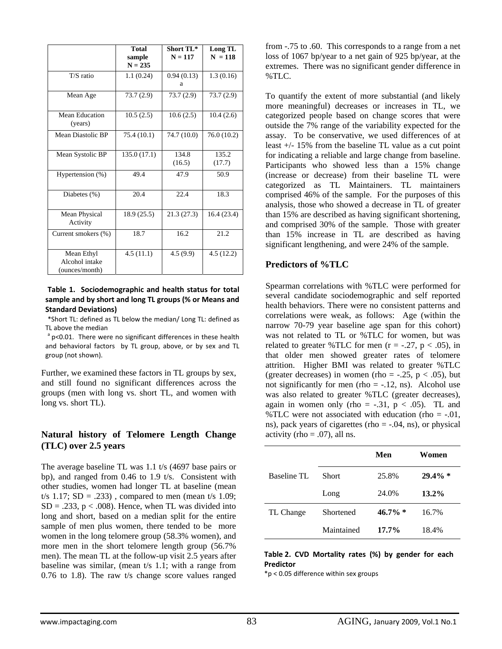|                                                | <b>Total</b><br>sample<br>$N = 235$ | Short TL*<br>$N = 117$ | Long TL<br>$N = 118$ |
|------------------------------------------------|-------------------------------------|------------------------|----------------------|
| T/S ratio                                      | 1.1(0.24)                           | 0.94(0.13)<br>а        | 1.3(0.16)            |
| Mean Age                                       | 73.7(2.9)                           | 73.7(2.9)              | 73.7(2.9)            |
| Mean Education<br>(years)                      | 10.5(2.5)                           | 10.6(2.5)              | 10.4(2.6)            |
| Mean Diastolic BP                              | 75.4 (10.1)                         | 74.7 (10.0)            | 76.0 (10.2)          |
| Mean Systolic BP                               | 135.0 (17.1)                        | 134.8<br>(16.5)        | 135.2<br>(17.7)      |
| Hypertension (%)                               | 49.4                                | 47.9                   | 50.9                 |
| Diabetes $(\% )$                               | 20.4                                | 22.4                   | 18.3                 |
| Mean Physical<br>Activity                      | 18.9(25.5)                          | 21.3(27.3)             | 16.4(23.4)           |
| Current smokers (%)                            | 18.7                                | 16.2                   | 21.2                 |
| Mean Ethyl<br>Alcohol intake<br>(ounces/month) | 4.5(11.1)                           | 4.5(9.9)               | 4.5(12.2)            |

#### **Table 1. Sociodemographic and health status for total sample and by short and long TL groups (% or Means and Standard Deviations)**

\*Short TL: defined as TL below the median/ Long TL: defined as TL above the median a parameter of the power theorem in the pealth  $a$ <sup>a</sup> p<0.01. There were no significant differences in these health

and behavioral factors by TL group, above, or by sex and TL group (not shown).

Further, we examined these factors in TL groups by sex, and still found no significant differences across the groups (men with long vs. short TL, and women with long vs. short TL).

### **Natural history of Telomere Length Change (TLC) over 2.5 years**

The average baseline TL was 1.1 t/s (4697 base pairs or bp), and ranged from 0.46 to 1.9 t/s. Consistent with other studies, women had longer TL at baseline (mean t/s 1.17;  $SD = .233$ ), compared to men (mean t/s 1.09;  $SD = .233$ ,  $p < .008$ ). Hence, when TL was divided into long and short, based on a median split for the entire sample of men plus women, there tended to be more women in the long telomere group (58.3% women), and more men in the short telomere length group (56.7% men). The mean TL at the follow-up visit 2.5 years after baseline was similar, (mean t/s 1.1; with a range from 0.76 to 1.8). The raw t/s change score values ranged from -.75 to .60. This corresponds to a range from a net loss of 1067 bp/year to a net gain of 925 bp/year, at the extremes. There was no significant gender difference in %TLC.

To quantify the extent of more substantial (and likely more meaningful) decreases or increases in TL, we categorized people based on change scores that were outside the 7% range of the variability expected for the assay. To be conservative, we used differences of at least +/- 15% from the baseline TL value as a cut point for indicating a reliable and large change from baseline. Participants who showed less than a 15% change (increase or decrease) from their baseline TL were categorized as TL Maintainers. TL maintainers comprised 46% of the sample. For the purposes of this analysis, those who showed a decrease in TL of greater than 15% are described as having significant shortening, and comprised 30% of the sample. Those with greater than 15% increase in TL are described as having significant lengthening, and were 24% of the sample.

### **Predictors of %TLC**

Spearman correlations with %TLC were performed for several candidate sociodemographic and self reported health behaviors. There were no consistent patterns and correlations were weak, as follows: Age (within the narrow 70-79 year baseline age span for this cohort) was not related to TL or %TLC for women, but was related to greater %TLC for men  $(r = -.27, p < .05)$ , in that older men showed greater rates of telomere attrition. Higher BMI was related to greater %TLC (greater decreases) in women (rho =  $-.25$ , p <  $.05$ ), but not significantly for men (rho  $= -.12$ , ns). Alcohol use was also related to greater %TLC (greater decreases), again in women only (rho =  $-.31$ , p < .05). TL and %TLC were not associated with education (rho =  $-.01$ , ns), pack years of cigarettes (rho  $=$  -.04, ns), or physical activity (rho  $= .07$ ), all ns.

|                    |              | Men        | Women      |
|--------------------|--------------|------------|------------|
| <b>Baseline TL</b> | <b>Short</b> | 25.8%      | $29.4\% *$ |
|                    | Long         | 24.0%      | $13.2\%$   |
| TL Change          | Shortened    | $46.7\%$ * | 16.7%      |
|                    | Maintained   | $17.7\%$   | 18.4%      |

#### **Table 2. CVD Mortality rates (%) by gender for each Predictor**

\*p < 0.05 difference within sex groups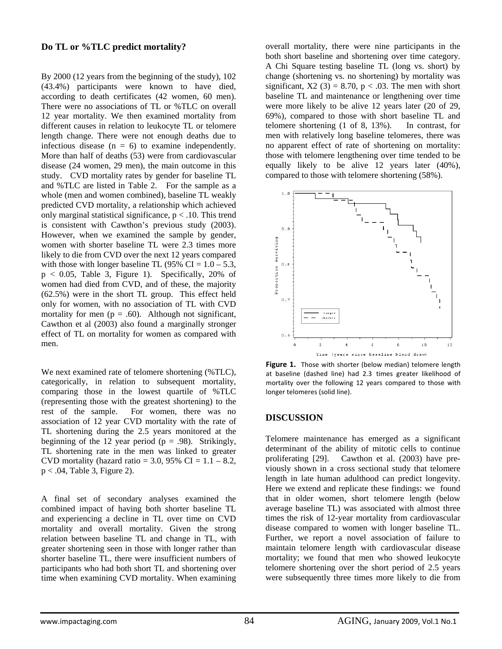# **Do TL or %TLC predict mortality?**

By 2000 (12 years from the beginning of the study), 102 (43.4%) participants were known to have died, according to death certificates (42 women, 60 men). There were no associations of TL or %TLC on overall 12 year mortality. We then examined mortality from different causes in relation to leukocyte TL or telomere length change. There were not enough deaths due to infectious disease  $(n = 6)$  to examine independently. More than half of deaths (53) were from cardiovascular disease (24 women, 29 men), the main outcome in this study. CVD mortality rates by gender for baseline TL and %TLC are listed in Table 2. For the sample as a whole (men and women combined), baseline TL weakly predicted CVD mortality, a relationship which achieved only marginal statistical significance,  $p < .10$ . This trend is consistent with Cawthon's previous study (2003). However, when we examined the sample by gender, women with shorter baseline TL were 2.3 times more likely to die from CVD over the next 12 years compared with those with longer baseline TL (95% CI =  $1.0 - 5.3$ ,  $p < 0.05$ , Table 3, Figure 1). Specifically, 20% of women had died from CVD, and of these, the majority (62.5%) were in the short TL group. This effect held only for women, with no association of TL with CVD mortality for men ( $p = .60$ ). Although not significant, Cawthon et al (2003) also found a marginally stronger effect of TL on mortality for women as compared with men.

We next examined rate of telomere shortening (%TLC), categorically, in relation to subsequent mortality, comparing those in the lowest quartile of %TLC (representing those with the greatest shortening) to the rest of the sample. For women, there was no association of 12 year CVD mortality with the rate of TL shortening during the 2.5 years monitored at the beginning of the 12 year period ( $p = .98$ ). Strikingly, TL shortening rate in the men was linked to greater CVD mortality (hazard ratio = 3.0, 95% CI =  $1.1 - 8.2$ , p < .04, Table 3, Figure 2).

A final set of secondary analyses examined the combined impact of having both shorter baseline TL and experiencing a decline in TL over time on CVD mortality and overall mortality. Given the strong relation between baseline TL and change in TL, with greater shortening seen in those with longer rather than shorter baseline TL, there were insufficient numbers of participants who had both short TL and shortening over time when examining CVD mortality. When examining

overall mortality, there were nine participants in the both short baseline and shortening over time category. A Chi Square testing baseline TL (long vs. short) by change (shortening vs. no shortening) by mortality was significant,  $X2$  (3) = 8.70,  $p < .03$ . The men with short baseline TL and maintenance or lengthening over time were more likely to be alive 12 years later (20 of 29, 69%), compared to those with short baseline TL and telomere shortening (1 of 8, 13%). In contrast, for men with relatively long baseline telomeres, there was no apparent effect of rate of shortening on mortality: those with telomere lengthening over time tended to be equally likely to be alive 12 years later (40%), compared to those with telomere shortening (58%).



**Figure 1.** Those with shorter (below median) telomere length at baseline (dashed line) had 2.3 times greater likelihood of mortality over the following 12 years compared to those with longer telomeres (solid line).

#### **DISCUSSION**

Telomere maintenance has emerged as a significant determinant of the ability of mitotic cells to continue proliferating [29]. Cawthon et al. (2003) have previously shown in a cross sectional study that telomere length in late human adulthood can predict longevity. Here we extend and replicate these findings: we found that in older women, short telomere length (below average baseline TL) was associated with almost three times the risk of 12-year mortality from cardiovascular disease compared to women with longer baseline TL. Further, we report a novel association of failure to maintain telomere length with cardiovascular disease mortality; we found that men who showed leukocyte telomere shortening over the short period of 2.5 years were subsequently three times more likely to die from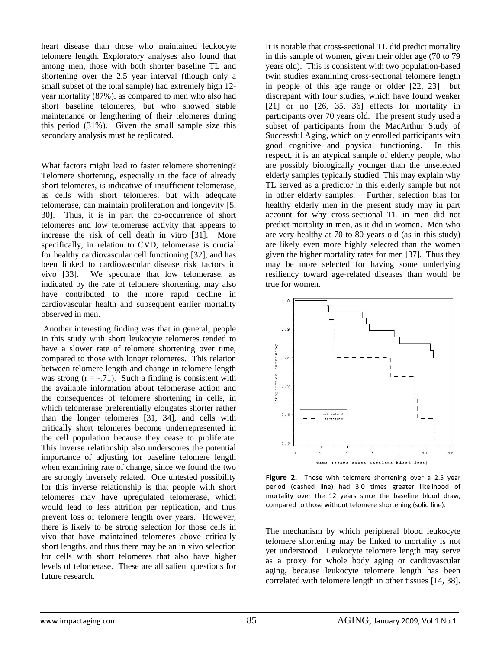heart disease than those who maintained leukocyte telomere length. Exploratory analyses also found that among men, those with both shorter baseline TL and shortening over the 2.5 year interval (though only a small subset of the total sample) had extremely high 12 year mortality (87%), as compared to men who also had short baseline telomeres, but who showed stable maintenance or lengthening of their telomeres during this period (31%). Given the small sample size this secondary analysis must be replicated.

What factors might lead to faster telomere shortening? Telomere shortening, especially in the face of already short telomeres, is indicative of insufficient telomerase, as cells with short telomeres, but with adequate telomerase, can maintain proliferation and longevity [5, 30]. Thus, it is in part the co-occurrence of short telomeres and low telomerase activity that appears to increase the risk of cell death in vitro [31]. More specifically, in relation to CVD, telomerase is crucial for healthy cardiovascular cell functioning [32], and has been linked to cardiovascular disease risk factors in vivo [33]. We speculate that low telomerase, as indicated by the rate of telomere shortening, may also have contributed to the more rapid decline in cardiovascular health and subsequent earlier mortality observed in men.

 Another interesting finding was that in general, people in this study with short leukocyte telomeres tended to have a slower rate of telomere shortening over time, compared to those with longer telomeres. This relation between telomere length and change in telomere length was strong  $(r = -.71)$ . Such a finding is consistent with the available information about telomerase action and the consequences of telomere shortening in cells, in which telomerase preferentially elongates shorter rather than the longer telomeres [31, 34], and cells with critically short telomeres become underrepresented in the cell population because they cease to proliferate. This inverse relationship also underscores the potential importance of adjusting for baseline telomere length when examining rate of change, since we found the two are strongly inversely related. One untested possibility for this inverse relationship is that people with short telomeres may have upregulated telomerase, which would lead to less attrition per replication, and thus prevent loss of telomere length over years. However, there is likely to be strong selection for those cells in vivo that have maintained telomeres above critically short lengths, and thus there may be an in vivo selection for cells with short telomeres that also have higher levels of telomerase. These are all salient questions for future research.

It is notable that cross-sectional TL did predict mortality in this sample of women, given their older age (70 to 79 years old). This is consistent with two population-based twin studies examining cross-sectional telomere length in people of this age range or older [22, 23] but discrepant with four studies, which have found weaker  $[21]$  or no  $[26, 35, 36]$  effects for mortality in participants over 70 years old. The present study used a subset of participants from the MacArthur Study of Successful Aging, which only enrolled participants with good cognitive and physical functioning. In this respect, it is an atypical sample of elderly people, who are possibly biologically younger than the unselected elderly samples typically studied. This may explain why TL served as a predictor in this elderly sample but not in other elderly samples. Further, selection bias for healthy elderly men in the present study may in part account for why cross-sectional TL in men did not predict mortality in men, as it did in women. Men who are very healthy at 70 to 80 years old (as in this study) are likely even more highly selected than the women given the higher mortality rates for men [37]. Thus they may be more selected for having some underlying resiliency toward age-related diseases than would be true for women.



Figure 2. Those with telomere shortening over a 2.5 year period (dashed line) had 3.0 times greater likelihood of mortality over the 12 years since the baseline blood draw, compared to those without telomere shortening (solid line).

The mechanism by which peripheral blood leukocyte telomere shortening may be linked to mortality is not yet understood. Leukocyte telomere length may serve as a proxy for whole body aging or cardiovascular aging, because leukocyte telomere length has been correlated with telomere length in other tissues [14, 38].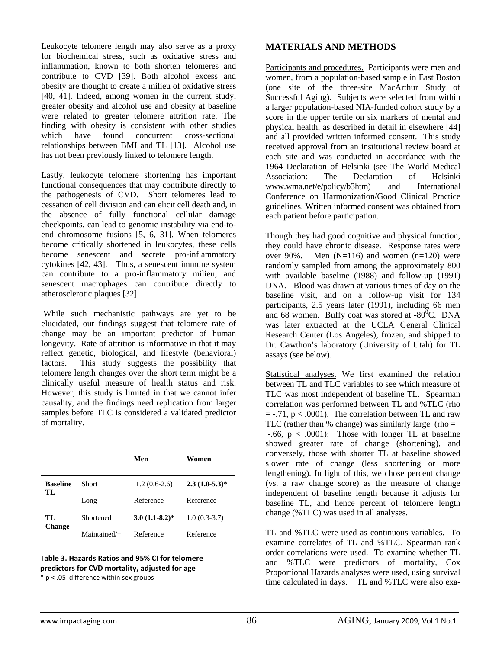Leukocyte telomere length may also serve as a proxy for biochemical stress, such as oxidative stress and inflammation, known to both shorten telomeres and contribute to CVD [39]. Both alcohol excess and obesity are thought to create a milieu of oxidative stress [40, 41]. Indeed, among women in the current study, greater obesity and alcohol use and obesity at baseline were related to greater telomere attrition rate. The finding with obesity is consistent with other studies which have found concurrent cross-sectional relationships between BMI and TL [13]. Alcohol use has not been previously linked to telomere length.

Lastly, leukocyte telomere shortening has important functional consequences that may contribute directly to the pathogenesis of CVD. Short telomeres lead to cessation of cell division and can elicit cell death and, in the absence of fully functional cellular damage checkpoints, can lead to genomic instability via end-toend chromosome fusions [5, 6, 31]. When telomeres become critically shortened in leukocytes, these cells become senescent and secrete pro-inflammatory cytokines [42, 43]. Thus, a senescent immune system can contribute to a pro-inflammatory milieu, and senescent macrophages can contribute directly to atherosclerotic plaques [32].

 While such mechanistic pathways are yet to be elucidated, our findings suggest that telomere rate of change may be an important predictor of human longevity. Rate of attrition is informative in that it may reflect genetic, biological, and lifestyle (behavioral) factors. This study suggests the possibility that telomere length changes over the short term might be a clinically useful measure of health status and risk. However, this study is limited in that we cannot infer causality, and the findings need replication from larger samples before TLC is considered a validated predictor of mortality.

|                       |                | Men              | Women           |
|-----------------------|----------------|------------------|-----------------|
| <b>Baseline</b><br>TL | Short          | $1.2(0.6-2.6)$   | $2.3(1.0-5.3)*$ |
|                       | Long           | Reference        | Reference       |
| TL<br><b>Change</b>   | Shortened      | $3.0(1.1-8.2)$ * | $1.0(0.3-3.7)$  |
|                       | $Maintained/+$ | Reference        | Reference       |

# **Table 3. Hazards Ratios and 95% CI for telomere predictors for CVD mortality, adjusted for age**

\* p < .05 difference within sex groups

# **MATERIALS AND METHODS**

Participants and procedures. Participants were men and women, from a population-based sample in East Boston (one site of the three-site MacArthur Study of Successful Aging). Subjects were selected from within a larger population-based NIA-funded cohort study by a score in the upper tertile on six markers of mental and physical health, as described in detail in elsewhere [44] and all provided written informed consent. This study received approval from an institutional review board at each site and was conducted in accordance with the 1964 Declaration of Helsinki (see The World Medical<br>Association: The Declaration of Helsinki Association: The Declaration of www.wma.net/e/policy/b3htm) and International Conference on Harmonization/Good Clinical Practice guidelines. Written informed consent was obtained from each patient before participation.

Though they had good cognitive and physical function, they could have chronic disease. Response rates were over 90%. Men  $(N=116)$  and women  $(n=120)$  were randomly sampled from among the approximately 800 with available baseline (1988) and follow-up (1991) DNA. Blood was drawn at various times of day on the baseline visit, and on a follow-up visit for 134 participants, 2.5 years later (1991), including 66 men and 68 women. Buffy coat was stored at  $-80^{\circ}$ C. DNA was later extracted at the UCLA General Clinical Research Center (Los Angeles), frozen, and shipped to Dr. Cawthon's laboratory (University of Utah) for TL assays (see below).

Statistical analyses. We first examined the relation between TL and TLC variables to see which measure of TLC was most independent of baseline TL. Spearman correlation was performed between TL and %TLC (rho  $=$  -.71,  $p < .0001$ ). The correlation between TL and raw TLC (rather than % change) was similarly large (rho  $=$  $-0.66$ ,  $p < .0001$ ): Those with longer TL at baseline showed greater rate of change (shortening), and conversely, those with shorter TL at baseline showed slower rate of change (less shortening or more lengthening). In light of this, we chose percent change (vs. a raw change score) as the measure of change independent of baseline length because it adjusts for baseline TL, and hence percent of telomere length change (%TLC) was used in all analyses.

TL and %TLC were used as continuous variables. To examine correlates of TL and %TLC, Spearman rank order correlations were used. To examine whether TL and %TLC were predictors of mortality, Cox Proportional Hazards analyses were used, using survival time calculated in days. TL and %TLC were also exa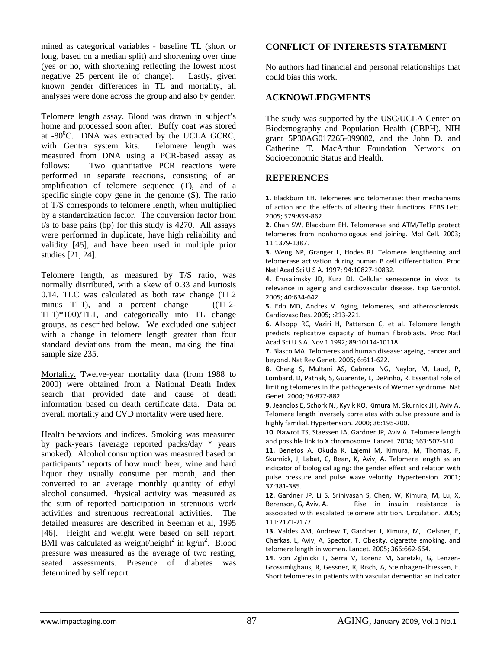mined as categorical variables - baseline TL (short or long, based on a median split) and shortening over time (yes or no, with shortening reflecting the lowest most negative 25 percent ile of change). Lastly, given known gender differences in TL and mortality, all analyses were done across the group and also by gender.

Telomere length assay. Blood was drawn in subject's home and processed soon after. Buffy coat was stored at  $-80^{\circ}$ C. DNA was extracted by the UCLA GCRC, with Gentra system kits. Telomere length was measured from DNA using a PCR-based assay as follows: Two quantitative PCR reactions were performed in separate reactions, consisting of an amplification of telomere sequence (T), and of a specific single copy gene in the genome (S). The ratio of T/S corresponds to telomere length, when multiplied by a standardization factor. The conversion factor from t/s to base pairs (bp) for this study is 4270. All assays were performed in duplicate, have high reliability and validity [45], and have been used in multiple prior studies [21, 24].

Telomere length, as measured by T/S ratio, was normally distributed, with a skew of 0.33 and kurtosis 0.14. TLC was calculated as both raw change (TL2 minus TL1), and a percent change ((TL2-TL1)\*100)/TL1, and categorically into TL change groups, as described below. We excluded one subject with a change in telomere length greater than four standard deviations from the mean, making the final sample size 235.

Mortality. Twelve-year mortality data (from 1988 to 2000) were obtained from a National Death Index search that provided date and cause of death information based on death certificate data. Data on overall mortality and CVD mortality were used here.

Health behaviors and indices. Smoking was measured by pack-years (average reported packs/day \* years smoked). Alcohol consumption was measured based on participants' reports of how much beer, wine and hard liquor they usually consume per month, and then converted to an average monthly quantity of ethyl alcohol consumed. Physical activity was measured as the sum of reported participation in strenuous work activities and strenuous recreational activities. The detailed measures are described in Seeman et al, 1995 [46]. Height and weight were based on self report. BMI was calculated as weight/height<sup>2</sup> in kg/m<sup>2</sup>. Blood pressure was measured as the average of two resting, seated assessments. Presence of diabetes was determined by self report.

# **CONFLICT OF INTERESTS STATEMENT**

No authors had financial and personal relationships that could bias this work.

# **ACKNOWLEDGMENTS**

The study was supported by the USC/UCLA Center on Biodemography and Population Health (CBPH), NIH grant 5P30AG017265-099002, and the John D. and Catherine T. MacArthur Foundation Network on Socioeconomic Status and Health.

### **REFERENCES**

**1.** Blackburn EH. Telomeres and telomerase: their mechanisms of action and the effects of altering their functions. FEBS Lett. 2005; 579:859‐862.

**2.** Chan SW, Blackburn EH. Telomerase and ATM/Tel1p protect telomeres from nonhomologous end joining. Mol Cell. 2003; 11:1379‐1387.

**3.** Weng NP, Granger L, Hodes RJ. Telomere lengthening and telomerase activation during human B cell differentiation. Proc Natl Acad Sci U S A. 1997; 94:10827‐10832.

**4.** Erusalimsky JD, Kurz DJ. Cellular senescence in vivo: its relevance in ageing and cardiovascular disease. Exp Gerontol. 2005; 40:634‐642.

**5.** Edo MD, Andres V. Aging, telomeres, and atherosclerosis. Cardiovasc Res. 2005; :213‐221.

**6.** Allsopp RC, Vaziri H, Patterson C, et al. Telomere length predicts replicative capacity of human fibroblasts. Proc Natl Acad Sci U S A. Nov 1 1992; 89:10114‐10118.

**7.** Blasco MA. Telomeres and human disease: ageing, cancer and beyond. Nat Rev Genet. 2005; 6:611‐622.

**8.** Chang S, Multani AS, Cabrera NG, Naylor, M, Laud, P, Lombard, D, Pathak, S, Guarente, L, DePinho, R. Essential role of limiting telomeres in the pathogenesis of Werner syndrome. Nat Genet. 2004; 36:877‐882.

**9.** Jeanclos E, Schork NJ, Kyvik KO, Kimura M, Skurnick JH, Aviv A. Telomere length inversely correlates with pulse pressure and is highly familial. Hypertension. 2000; 36:195‐200.

**10.** Nawrot TS, Staessen JA, Gardner JP, Aviv A. Telomere length and possible link to X chromosome. Lancet. 2004; 363:507‐510.

**11.** Benetos A, Okuda K, Lajemi M, Kimura, M, Thomas, F, Skurnick, J, Labat, C, Bean, K, Aviv, A. Telomere length as an indicator of biological aging: the gender effect and relation with pulse pressure and pulse wave velocity. Hypertension. 2001; 37:381‐385.

**12.** Gardner JP, Li S, Srinivasan S, Chen, W, Kimura, M, Lu, X, Berenson, G, Aviv, A. Rise in insulin resistance is associated with escalated telomere attrition. Circulation. 2005; 111:2171‐2177.

**13.** Valdes AM, Andrew T, Gardner J, Kimura, M, Oelsner, E, Cherkas, L, Aviv, A, Spector, T. Obesity, cigarette smoking, and telomere length in women. Lancet. 2005; 366:662‐664.

**14.** von Zglinicki T, Serra V, Lorenz M, Saretzki, G, Lenzen‐ Grossimlighaus, R, Gessner, R, Risch, A, Steinhagen‐Thiessen, E. Short telomeres in patients with vascular dementia: an indicator